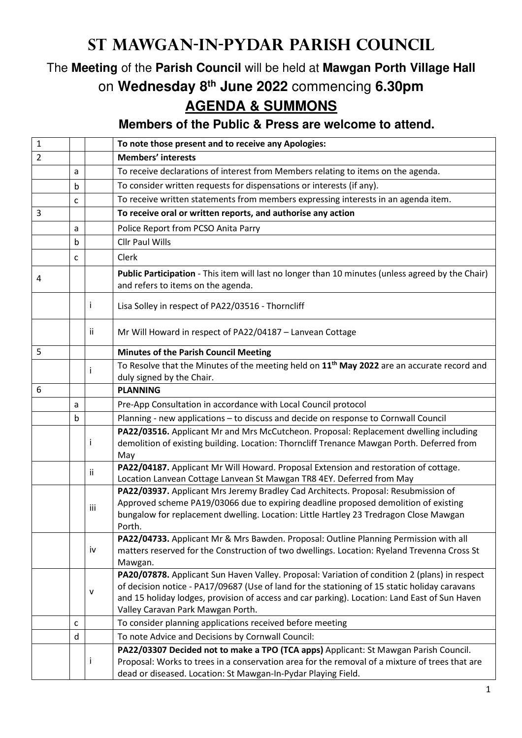## **St Mawgan-in-Pydar Parish Council**

## The **Meeting** of the **Parish Council** will be held at **Mawgan Porth Village Hall** on **Wednesday 8th June 2022** commencing **6.30pm AGENDA & SUMMONS**

**Members of the Public & Press are welcome to attend.** 

| $\mathbf{1}$   |             |              | To note those present and to receive any Apologies:                                                                                                                                                                                                                                                                                  |
|----------------|-------------|--------------|--------------------------------------------------------------------------------------------------------------------------------------------------------------------------------------------------------------------------------------------------------------------------------------------------------------------------------------|
| $\overline{2}$ |             |              | <b>Members' interests</b>                                                                                                                                                                                                                                                                                                            |
|                | a           |              | To receive declarations of interest from Members relating to items on the agenda.                                                                                                                                                                                                                                                    |
|                | $\mathbf b$ |              | To consider written requests for dispensations or interests (if any).                                                                                                                                                                                                                                                                |
|                | C           |              | To receive written statements from members expressing interests in an agenda item.                                                                                                                                                                                                                                                   |
| 3              |             |              | To receive oral or written reports, and authorise any action                                                                                                                                                                                                                                                                         |
|                | a           |              | Police Report from PCSO Anita Parry                                                                                                                                                                                                                                                                                                  |
|                | b           |              | <b>Cllr Paul Wills</b>                                                                                                                                                                                                                                                                                                               |
|                | C           |              | Clerk                                                                                                                                                                                                                                                                                                                                |
| 4              |             |              | Public Participation - This item will last no longer than 10 minutes (unless agreed by the Chair)<br>and refers to items on the agenda.                                                                                                                                                                                              |
|                |             | Ť            | Lisa Solley in respect of PA22/03516 - Thorncliff                                                                                                                                                                                                                                                                                    |
|                |             | Ϊİ           | Mr Will Howard in respect of PA22/04187 - Lanvean Cottage                                                                                                                                                                                                                                                                            |
| 5              |             |              | <b>Minutes of the Parish Council Meeting</b>                                                                                                                                                                                                                                                                                         |
|                |             |              | To Resolve that the Minutes of the meeting held on 11 <sup>th</sup> May 2022 are an accurate record and<br>duly signed by the Chair.                                                                                                                                                                                                 |
| 6              |             |              | <b>PLANNING</b>                                                                                                                                                                                                                                                                                                                      |
|                | a           |              | Pre-App Consultation in accordance with Local Council protocol                                                                                                                                                                                                                                                                       |
|                | $\mathbf b$ |              | Planning - new applications - to discuss and decide on response to Cornwall Council                                                                                                                                                                                                                                                  |
|                |             | Ť            | PA22/03516. Applicant Mr and Mrs McCutcheon. Proposal: Replacement dwelling including<br>demolition of existing building. Location: Thorncliff Trenance Mawgan Porth. Deferred from<br>May                                                                                                                                           |
|                |             | -ii          | PA22/04187. Applicant Mr Will Howard. Proposal Extension and restoration of cottage.<br>Location Lanvean Cottage Lanvean St Mawgan TR8 4EY. Deferred from May                                                                                                                                                                        |
|                |             | iii          | PA22/03937. Applicant Mrs Jeremy Bradley Cad Architects. Proposal: Resubmission of<br>Approved scheme PA19/03066 due to expiring deadline proposed demolition of existing<br>bungalow for replacement dwelling. Location: Little Hartley 23 Tredragon Close Mawgan<br>Porth.                                                         |
|                |             | iv           | PA22/04733. Applicant Mr & Mrs Bawden. Proposal: Outline Planning Permission with all<br>matters reserved for the Construction of two dwellings. Location: Ryeland Trevenna Cross St<br>Mawgan.                                                                                                                                      |
|                |             | $\mathsf{V}$ | PA20/07878. Applicant Sun Haven Valley. Proposal: Variation of condition 2 (plans) in respect<br>of decision notice - PA17/09687 (Use of land for the stationing of 15 static holiday caravans<br>and 15 holiday lodges, provision of access and car parking). Location: Land East of Sun Haven<br>Valley Caravan Park Mawgan Porth. |
|                | C           |              | To consider planning applications received before meeting                                                                                                                                                                                                                                                                            |
|                | d           |              | To note Advice and Decisions by Cornwall Council:                                                                                                                                                                                                                                                                                    |
|                |             | Ť            | PA22/03307 Decided not to make a TPO (TCA apps) Applicant: St Mawgan Parish Council.<br>Proposal: Works to trees in a conservation area for the removal of a mixture of trees that are<br>dead or diseased. Location: St Mawgan-In-Pydar Playing Field.                                                                              |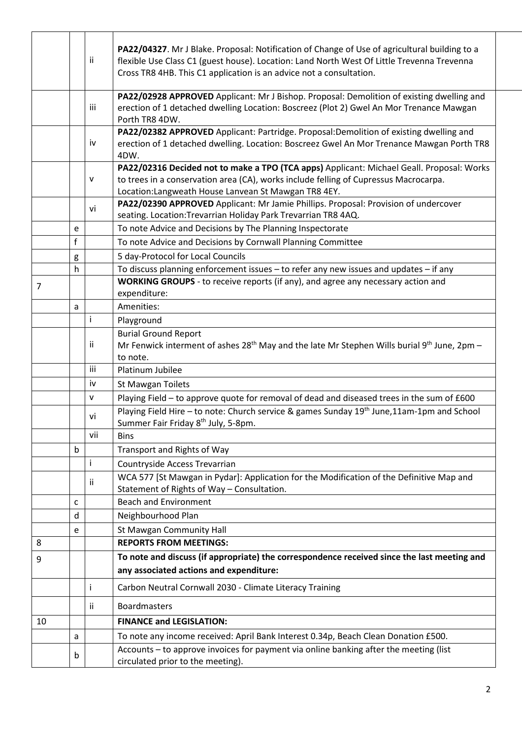|    |             | Ϊİ        | PA22/04327. Mr J Blake. Proposal: Notification of Change of Use of agricultural building to a<br>flexible Use Class C1 (guest house). Location: Land North West Of Little Trevenna Trevenna<br>Cross TR8 4HB. This C1 application is an advice not a consultation. |
|----|-------------|-----------|--------------------------------------------------------------------------------------------------------------------------------------------------------------------------------------------------------------------------------------------------------------------|
|    |             | iii       | PA22/02928 APPROVED Applicant: Mr J Bishop. Proposal: Demolition of existing dwelling and<br>erection of 1 detached dwelling Location: Boscreez (Plot 2) Gwel An Mor Trenance Mawgan<br>Porth TR8 4DW.                                                             |
|    |             | iv        | PA22/02382 APPROVED Applicant: Partridge. Proposal:Demolition of existing dwelling and<br>erection of 1 detached dwelling. Location: Boscreez Gwel An Mor Trenance Mawgan Porth TR8<br>4DW.                                                                        |
|    |             | ${\sf v}$ | PA22/02316 Decided not to make a TPO (TCA apps) Applicant: Michael Geall. Proposal: Works<br>to trees in a conservation area (CA), works include felling of Cupressus Macrocarpa.<br>Location: Langweath House Lanvean St Mawgan TR8 4EY.                          |
|    |             | vi        | PA22/02390 APPROVED Applicant: Mr Jamie Phillips. Proposal: Provision of undercover<br>seating. Location: Trevarrian Holiday Park Trevarrian TR8 4AQ.                                                                                                              |
|    | e           |           | To note Advice and Decisions by The Planning Inspectorate                                                                                                                                                                                                          |
|    | f           |           | To note Advice and Decisions by Cornwall Planning Committee                                                                                                                                                                                                        |
|    | g           |           | 5 day-Protocol for Local Councils                                                                                                                                                                                                                                  |
|    | h           |           | To discuss planning enforcement issues - to refer any new issues and updates - if any                                                                                                                                                                              |
| 7  |             |           | WORKING GROUPS - to receive reports (if any), and agree any necessary action and                                                                                                                                                                                   |
|    |             |           | expenditure:                                                                                                                                                                                                                                                       |
|    | a           |           | Amenities:                                                                                                                                                                                                                                                         |
|    |             | i         | Playground                                                                                                                                                                                                                                                         |
|    |             | ii        | <b>Burial Ground Report</b><br>Mr Fenwick interment of ashes $28^{th}$ May and the late Mr Stephen Wills burial 9 <sup>th</sup> June, 2pm –<br>to note.                                                                                                            |
|    |             | iii       | Platinum Jubilee                                                                                                                                                                                                                                                   |
|    |             | iv        | St Mawgan Toilets                                                                                                                                                                                                                                                  |
|    |             | v         | Playing Field - to approve quote for removal of dead and diseased trees in the sum of £600                                                                                                                                                                         |
|    |             | vi        | Playing Field Hire - to note: Church service & games Sunday 19 <sup>th</sup> June, 11am-1pm and School<br>Summer Fair Friday 8 <sup>th</sup> July, 5-8pm.                                                                                                          |
|    |             | vii       | <b>Bins</b>                                                                                                                                                                                                                                                        |
|    | $\mathbf b$ |           | Transport and Rights of Way                                                                                                                                                                                                                                        |
|    |             | i         | Countryside Access Trevarrian                                                                                                                                                                                                                                      |
|    |             | ii        | WCA 577 [St Mawgan in Pydar]: Application for the Modification of the Definitive Map and<br>Statement of Rights of Way - Consultation.                                                                                                                             |
|    | c           |           | <b>Beach and Environment</b>                                                                                                                                                                                                                                       |
|    | d           |           | Neighbourhood Plan                                                                                                                                                                                                                                                 |
|    | e           |           | St Mawgan Community Hall                                                                                                                                                                                                                                           |
| 8  |             |           | <b>REPORTS FROM MEETINGS:</b>                                                                                                                                                                                                                                      |
| 9  |             |           | To note and discuss (if appropriate) the correspondence received since the last meeting and                                                                                                                                                                        |
|    |             |           | any associated actions and expenditure:                                                                                                                                                                                                                            |
|    |             |           | Carbon Neutral Cornwall 2030 - Climate Literacy Training                                                                                                                                                                                                           |
|    |             | ii        | <b>Boardmasters</b>                                                                                                                                                                                                                                                |
| 10 |             |           | <b>FINANCE and LEGISLATION:</b>                                                                                                                                                                                                                                    |
|    | a           |           | To note any income received: April Bank Interest 0.34p, Beach Clean Donation £500.                                                                                                                                                                                 |
|    | b           |           | Accounts - to approve invoices for payment via online banking after the meeting (list<br>circulated prior to the meeting).                                                                                                                                         |